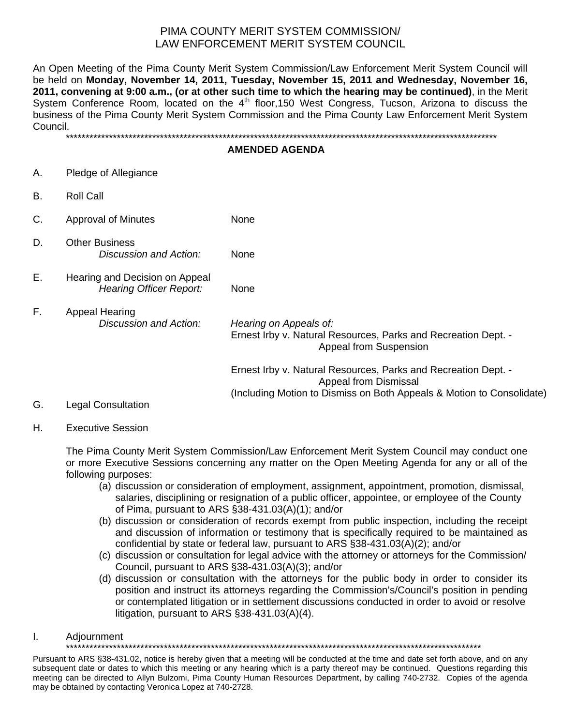# PIMA COUNTY MERIT SYSTEM COMMISSION/ LAW ENFORCEMENT MERIT SYSTEM COUNCIL

An Open Meeting of the Pima County Merit System Commission/Law Enforcement Merit System Council will be held on **Monday, November 14, 2011, Tuesday, November 15, 2011 and Wednesday, November 16, 2011, convening at 9:00 a.m., (or at other such time to which the hearing may be continued)**, in the Merit System Conference Room, located on the 4<sup>th</sup> floor, 150 West Congress, Tucson, Arizona to discuss the business of the Pima County Merit System Commission and the Pima County Law Enforcement Merit System Council.

\*\*\*\*\*\*\*\*\*\*\*\*\*\*\*\*\*\*\*\*\*\*\*\*\*\*\*\*\*\*\*\*\*\*\*\*\*\*\*\*\*\*\*\*\*\*\*\*\*\*\*\*\*\*\*\*\*\*\*\*\*\*\*\*\*\*\*\*\*\*\*\*\*\*\*\*\*\*\*\*\*\*\*\*\*\*\*\*\*\*\*\*\*\*\*\*\*\*\*\*\*\*\*\*\*\*\*\*\*\*

#### **AMENDED AGENDA**

- A. Pledge of Allegiance
- B. Roll Call
- C. Approval of Minutes None
- D. Other Business *Discussion and Action:* None
- E. Hearing and Decision on Appeal *Hearing Officer Report:* None
- F. Appeal Hearing *Discussion and Action: Hearing on Appeals of:* Ernest Irby v. Natural Resources, Parks and Recreation Dept. - Appeal from Suspension Ernest Irby v. Natural Resources, Parks and Recreation Dept. - Appeal from Dismissal (Including Motion to Dismiss on Both Appeals & Motion to Consolidate)
- G. Legal Consultation

### H. Executive Session

The Pima County Merit System Commission/Law Enforcement Merit System Council may conduct one or more Executive Sessions concerning any matter on the Open Meeting Agenda for any or all of the following purposes:

- (a) discussion or consideration of employment, assignment, appointment, promotion, dismissal, salaries, disciplining or resignation of a public officer, appointee, or employee of the County of Pima, pursuant to ARS §38-431.03(A)(1); and/or
- (b) discussion or consideration of records exempt from public inspection, including the receipt and discussion of information or testimony that is specifically required to be maintained as confidential by state or federal law, pursuant to ARS §38-431.03(A)(2); and/or
- (c) discussion or consultation for legal advice with the attorney or attorneys for the Commission/ Council, pursuant to ARS §38-431.03(A)(3); and/or
- (d) discussion or consultation with the attorneys for the public body in order to consider its position and instruct its attorneys regarding the Commission's/Council's position in pending or contemplated litigation or in settlement discussions conducted in order to avoid or resolve litigation, pursuant to ARS §38-431.03(A)(4).

### I. Adjournment

\*\*\*\*\*\*\*\*\*\*\*\*\*\*\*\*\*\*\*\*\*\*\*\*\*\*\*\*\*\*\*\*\*\*\*\*\*\*\*\*\*\*\*\*\*\*\*\*\*\*\*\*\*\*\*\*\*\*\*\*\*\*\*\*\*\*\*\*\*\*\*\*\*\*\*\*\*\*\*\*\*\*\*\*\*\*\*\*\*\*\*\*\*\*\*\*\*\*\*\*\*\*\*\*\*\*

Pursuant to ARS §38-431.02, notice is hereby given that a meeting will be conducted at the time and date set forth above, and on any subsequent date or dates to which this meeting or any hearing which is a party thereof may be continued. Questions regarding this meeting can be directed to Allyn Bulzomi, Pima County Human Resources Department, by calling 740-2732. Copies of the agenda may be obtained by contacting Veronica Lopez at 740-2728.